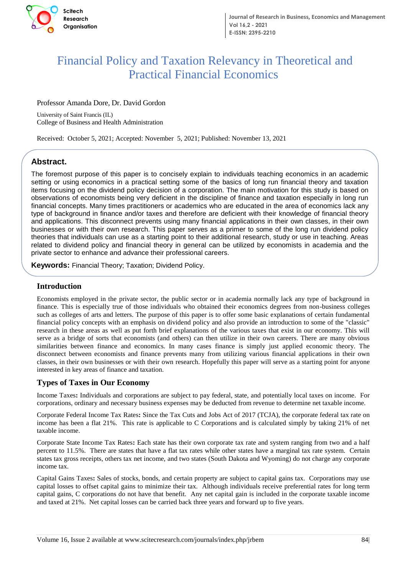

# Financial Policy and Taxation Relevancy in Theoretical and Practical Financial Economics

Professor Amanda Dore, Dr. David Gordon

University of Saint Francis (IL) College of Business and Health Administration

Received: October 5, 2021; Accepted: November 5, 2021; Published: November 13, 2021

# Abstract.

 $\overline{\phantom{a}}$ 

**Setting or using economics in a practical setting some of the basics of long run financial theory and taxation**<br>It was facusing an the dividend policy decision of a compaction. The majo mativation faculties turbuin has al observations of economists being very deficient in the discipline of finance and taxation especially in long run The foremost purpose of this paper is to concisely explain to individuals teaching economics in an academic items focusing on the dividend policy decision of a corporation. The main motivation for this study is based on financial concepts. Many times practitioners or academics who are educated in the area of economics lack any type of background in finance and/or taxes and therefore are deficient with their knowledge of financial theory and applications. This disconnect prevents using many financial applications in their own classes, in their own businesses or with their own research. This paper serves as a primer to some of the long run dividend policy theories that individuals can use as a starting point to their additional research, study or use in teaching. Areas related to dividend policy and financial theory in general can be utilized by economists in academia and the private sector to enhance and advance their professional careers.

**Keywords:** Financial Theory; Taxation; Dividend Policy.

#### **Introduction**

Economists employed in the private sector, the public sector or in academia normally lack any type of background in finance. This is especially true of those individuals who obtained their economics degrees from non-business colleges such as colleges of arts and letters. The purpose of this paper is to offer some basic explanations of certain fundamental financial policy concepts with an emphasis on dividend policy and also provide an introduction to some of the "classic" research in these areas as well as put forth brief explanations of the various taxes that exist in our economy. This will serve as a bridge of sorts that economists (and others) can then utilize in their own careers. There are many obvious similarities between finance and economics. In many cases finance is simply just applied economic theory. The disconnect between economists and finance prevents many from utilizing various financial applications in their own classes, in their own businesses or with their own research. Hopefully this paper will serve as a starting point for anyone interested in key areas of finance and taxation.

### **Types of Taxes in Our Economy**

Income Taxes**:** Individuals and corporations are subject to pay federal, state, and potentially local taxes on income. For corporations, ordinary and necessary business expenses may be deducted from revenue to determine net taxable income.

Corporate Federal Income Tax Rates**:** Since the Tax Cuts and Jobs Act of 2017 (TCJA), the corporate federal tax rate on income has been a flat 21%. This rate is applicable to C Corporations and is calculated simply by taking 21% of net taxable income.

Corporate State Income Tax Rates**:** Each state has their own corporate tax rate and system ranging from two and a half percent to 11.5%. There are states that have a flat tax rates while other states have a marginal tax rate system. Certain states tax gross receipts, others tax net income, and two states (South Dakota and Wyoming) do not charge any corporate income tax.

Capital Gains Taxes**:** Sales of stocks, bonds, and certain property are subject to capital gains tax. Corporations may use capital losses to offset capital gains to minimize their tax. Although individuals receive preferential rates for long term capital gains, C corporations do not have that benefit. Any net capital gain is included in the corporate taxable income and taxed at 21%. Net capital losses can be carried back three years and forward up to five years.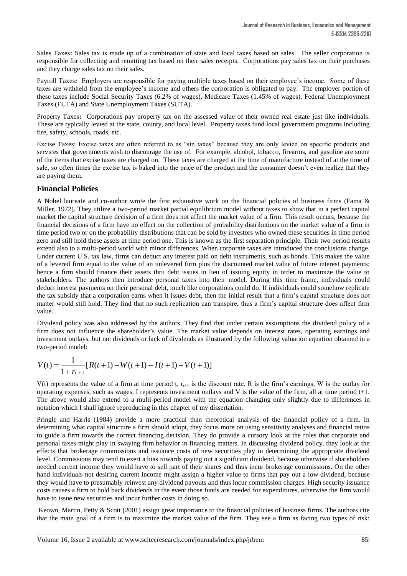Sales Taxes**:** Sales tax is made up of a combination of state and local taxes based on sales. The seller corporation is responsible for collecting and remitting tax based on their sales receipts. Corporations pay sales tax on their purchases and they charge sales tax on their sales.

Payroll Taxes**:** Employers are responsible for paying multiple taxes based on their employee's income. Some of these taxes are withheld from the employee's income and others the corporation is obligated to pay. The employer portion of these taxes include Social Security Taxes (6.2% of wages), Medicare Taxes (1.45% of wages), Federal Unemployment Taxes (FUTA) and State Unemployment Taxes (SUTA).

Property Taxes**:** Corporations pay property tax on the assessed value of their owned real estate just like individuals. These are typically levied at the state, county, and local level. Property taxes fund local government programs including fire, safety, schools, roads, etc.

Excise Taxes: Excise taxes are often referred to as "sin taxes" because they are only levied on specific products and services that governments wish to discourage the use of. For example, alcohol, tobacco, firearms, and gasoline are some of the items that excise taxes are charged on. These taxes are charged at the time of manufacture instead of at the time of sale, so often times the excise tax is baked into the price of the product and the consumer doesn't even realize that they are paying them.

### **Financial Policies**

A Nobel laureate and co-author wrote the first exhaustive work on the financial policies of business firms (Fama & Miller, 1972). They utilize a two-period market partial equilibrium model without taxes to show that in a perfect capital market the capital structure decision of a firm does not affect the market value of a firm. This result occurs, because the financial decisions of a firm have no effect on the collection of probability distributions on the market value of a firm in time period two or on the probability distributions that can be sold by investors who owned these securities in time period zero and still hold these assets at time period one. This is known as the first separation principle. Their two period results extend also to a multi-period world with minor differences. When corporate taxes are introduced the conclusions change. Under current U.S. tax law, firms can deduct any interest paid on debt instruments, such as bonds. This makes the value of a levered firm equal to the value of an unlevered firm plus the discounted market value of future interest payments; hence a firm should finance their assets thru debt issues in lieu of issuing equity in order to maximize the value to stakeholders. The authors then introduce personal taxes into their model. During this time frame, individuals could deduct interest payments on their personal debt, much like corporations could do. If individuals could somehow replicate the tax subsidy that a corporation earns when it issues debt, then the initial result that a firm's capital structure does not matter would still hold. They find that no such replication can transpire, thus a firm's capital structure does affect firm value.

Dividend policy was also addressed by the authors. They find that under certain assumptions the dividend policy of a firm does not influence the shareholder's value. The market value depends on interest rates, operating earnings and investment outlays, but not dividends or lack of dividends as illustrated by the following valuation equation obtained in a two-period model:

$$
V(t) = \frac{1}{1 + r_{t+1}} [R(t+1) - W(t+1) - I(t+1) + V(t+1)]
$$

V(t) represents the value of a firm at time period t,  $r_{t+1}$  is the discount rate, R is the firm's earnings, W is the outlay for operating expenses, such as wages, I represents investment outlays and V is the value of the firm, all at time period t+1. The above would also extend to a multi-period model with the equation changing only slightly due to differences in notation which I shall ignore reproducing in this chapter of my dissertation.

Pringle and Harris (1984) provide a more practical than theoretical analysis of the financial policy of a firm. In determining what capital structure a firm should adopt, they focus more on using sensitivity analyses and financial ratios to guide a firm towards the correct financing decision. They do provide a cursory look at the roles that corporate and personal taxes might play in swaying firm behavior in financing matters. In discussing dividend policy, they look at the effects that brokerage commissions and issuance costs of new securities play in determining the appropriate dividend level. Commissions may tend to exert a bias towards paying out a significant dividend, because otherwise if shareholders needed current income they would have to sell part of their shares and thus incur brokerage commissions. On the other hand individuals not desiring current income might assign a higher value to firms that pay out a low dividend, because they would have to presumably reinvest any dividend payouts and thus incur commission charges. High security issuance costs causes a firm to hold back dividends in the event those funds are needed for expenditures, otherwise the firm would have to issue new securities and incur further costs in doing so.

Keown, Martin, Petty & Scott (2001) assign great importance to the financial policies of business firms. The authors cite that the main goal of a firm is to maximize the market value of the firm. They see a firm as facing two types of risk: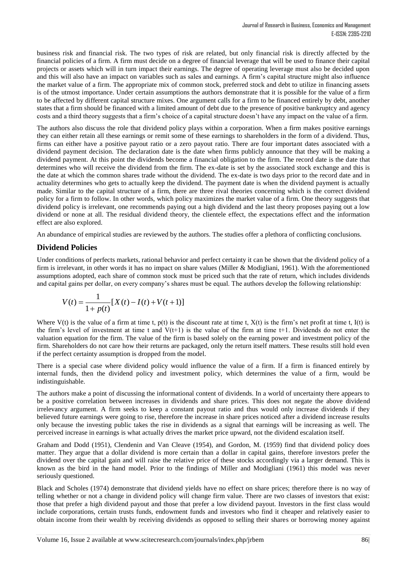business risk and financial risk. The two types of risk are related, but only financial risk is directly affected by the financial policies of a firm. A firm must decide on a degree of financial leverage that will be used to finance their capital projects or assets which will in turn impact their earnings. The degree of operating leverage must also be decided upon and this will also have an impact on variables such as sales and earnings. A firm's capital structure might also influence the market value of a firm. The appropriate mix of common stock, preferred stock and debt to utilize in financing assets is of the utmost importance. Under certain assumptions the authors demonstrate that it is possible for the value of a firm to be affected by different capital structure mixes. One argument calls for a firm to be financed entirely by debt, another states that a firm should be financed with a limited amount of debt due to the presence of positive bankruptcy and agency costs and a third theory suggests that a firm's choice of a capital structure doesn't have any impact on the value of a firm.

The authors also discuss the role that dividend policy plays within a corporation. When a firm makes positive earnings they can either retain all these earnings or remit some of these earnings to shareholders in the form of a dividend. Thus, firms can either have a positive payout ratio or a zero payout ratio. There are four important dates associated with a dividend payment decision. The declaration date is the date when firms publicly announce that they will be making a dividend payment. At this point the dividends become a financial obligation to the firm. The record date is the date that determines who will receive the dividend from the firm. The ex-date is set by the associated stock exchange and this is the date at which the common shares trade without the dividend. The ex-date is two days prior to the record date and in actuality determines who gets to actually keep the dividend. The payment date is when the dividend payment is actually made. Similar to the capital structure of a firm, there are three rival theories concerning which is the correct dividend policy for a firm to follow. In other words, which policy maximizes the market value of a firm. One theory suggests that dividend policy is irrelevant, one recommends paying out a high dividend and the last theory proposes paying out a low dividend or none at all. The residual dividend theory, the clientele effect, the expectations effect and the information effect are also explored.

An abundance of empirical studies are reviewed by the authors. The studies offer a plethora of conflicting conclusions.

## **Dividend Policies**

Under conditions of perfects markets, rational behavior and perfect certainty it can be shown that the dividend policy of a firm is irrelevant, in other words it has no impact on share values (Miller & Modigliani, 1961). With the aforementioned assumptions adopted, each share of common stock must be priced such that the rate of return, which includes dividends and capital gains per dollar, on every company's shares must be equal. The authors develop the following relationship:

$$
V(t) = \frac{1}{1 + p(t)} [X(t) - I(t) + V(t+1)]
$$

Where  $V(t)$  is the value of a firm at time t,  $p(t)$  is the discount rate at time t,  $X(t)$  is the firm's net profit at time t,  $I(t)$  is the firm's level of investment at time t and  $V(t+1)$  is the value of the firm at time t+1. Dividends do not enter the valuation equation for the firm. The value of the firm is based solely on the earning power and investment policy of the firm. Shareholders do not care how their returns are packaged, only the return itself matters. These results still hold even if the perfect certainty assumption is dropped from the model.

There is a special case where dividend policy would influence the value of a firm. If a firm is financed entirely by internal funds, then the dividend policy and investment policy, which determines the value of a firm, would be indistinguishable.

The authors make a point of discussing the informational content of dividends. In a world of uncertainty there appears to be a positive correlation between increases in dividends and share prices. This does not negate the above dividend irrelevancy argument. A firm seeks to keep a constant payout ratio and thus would only increase dividends if they believed future earnings were going to rise, therefore the increase in share prices noticed after a dividend increase results only because the investing public takes the rise in dividends as a signal that earnings will be increasing as well. The perceived increase in earnings is what actually drives the market price upward, not the dividend escalation itself.

Graham and Dodd (1951), Clendenin and Van Cleave (1954), and Gordon, M. (1959) find that dividend policy does matter. They argue that a dollar dividend is more certain than a dollar in capital gains, therefore investors prefer the dividend over the capital gain and will raise the relative price of these stocks accordingly via a larger demand. This is known as the bird in the hand model. Prior to the findings of Miller and Modigliani (1961) this model was never seriously questioned.

Black and Scholes (1974) demonstrate that dividend yields have no effect on share prices; therefore there is no way of telling whether or not a change in dividend policy will change firm value. There are two classes of investors that exist: those that prefer a high dividend payout and those that prefer a low dividend payout. Investors in the first class would include corporations, certain trusts funds, endowment funds and investors who find it cheaper and relatively easier to obtain income from their wealth by receiving dividends as opposed to selling their shares or borrowing money against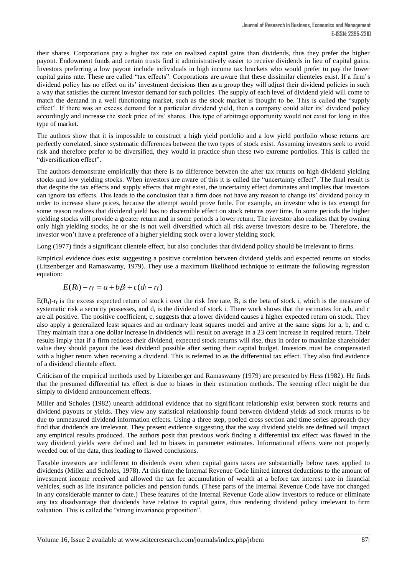their shares. Corporations pay a higher tax rate on realized capital gains than dividends, thus they prefer the higher payout. Endowment funds and certain trusts find it administratively easier to receive dividends in lieu of capital gains. Investors preferring a low payout include individuals in high income tax brackets who would prefer to pay the lower capital gains rate. These are called "tax effects". Corporations are aware that these dissimilar clienteles exist. If a firm's dividend policy has no effect on its' investment decisions then as a group they will adjust their dividend policies in such a way that satisfies the current investor demand for such policies. The supply of each level of dividend yield will come to match the demand in a well functioning market, such as the stock market is thought to be. This is called the "supply effect". If there was an excess demand for a particular dividend yield, then a company could alter its' dividend policy accordingly and increase the stock price of its' shares. This type of arbitrage opportunity would not exist for long in this type of market.

The authors show that it is impossible to construct a high yield portfolio and a low yield portfolio whose returns are perfectly correlated, since systematic differences between the two types of stock exist. Assuming investors seek to avoid risk and therefore prefer to be diversified, they would in practice shun these two extreme portfolios. This is called the "diversification effect".

The authors demonstrate empirically that there is no difference between the after tax returns on high dividend yielding stocks and low yielding stocks. When investors are aware of this it is called the "uncertainty effect". The final result is that despite the tax effects and supply effects that might exist, the uncertainty effect dominates and implies that investors can ignore tax effects. This leads to the conclusion that a firm does not have any reason to change its' dividend policy in order to increase share prices, because the attempt would prove futile. For example, an investor who is tax exempt for some reason realizes that dividend yield has no discernible effect on stock returns over time. In some periods the higher yielding stocks will provide a greater return and in some periods a lower return. The investor also realizes that by owning only high yielding stocks, he or she is not well diversified which all risk averse investors desire to be. Therefore, the investor won't have a preference of a higher yielding stock over a lower yielding stock.

Long (1977) finds a significant clientele effect, but also concludes that dividend policy should be irrelevant to firms.

Empirical evidence does exist suggesting a positive correlation between dividend yields and expected returns on stocks (Litzenberger and Ramaswamy, 1979). They use a maximum likelihood technique to estimate the following regression equation:

$$
E(R_i)-r_f=a+b\beta_i+c(d_i-r_f)
$$

 $E(R_i)-r_f$  is the excess expected return of stock i over the risk free rate,  $B_i$  is the beta of stock i, which is the measure of systematic risk a security possesses, and  $d_i$  is the dividend of stock i. There work shows that the estimates for a,b, and c are all positive. The positive coefficient, c, suggests that a lower dividend causes a higher expected return on stock. They also apply a generalized least squares and an ordinary least squares model and arrive at the same signs for a, b, and c. They maintain that a one dollar increase in dividends will result on average in a 23 cent increase in required return. Their results imply that if a firm reduces their dividend, expected stock returns will rise, thus in order to maximize shareholder value they should payout the least dividend possible after setting their capital budget. Investors must be compensated with a higher return when receiving a dividend. This is referred to as the differential tax effect. They also find evidence of a dividend clientele effect.

Criticism of the empirical methods used by Litzenberger and Ramaswamy (1979) are presented by Hess (1982). He finds that the presumed differential tax effect is due to biases in their estimation methods. The seeming effect might be due simply to dividend announcement effects.

Miller and Scholes (1982) unearth additional evidence that no significant relationship exist between stock returns and dividend payouts or yields. They view any statistical relationship found between dividend yields ad stock returns to be due to unmeasured dividend information effects. Using a three step, pooled cross section and time series approach they find that dividends are irrelevant. They present evidence suggesting that the way dividend yields are defined will impact any empirical results produced. The authors posit that previous work finding a differential tax effect was flawed in the way dividend yields were defined and led to biases in parameter estimates. Informational effects were not properly weeded out of the data, thus leading to flawed conclusions.

Taxable investors are indifferent to dividends even when capital gains taxes are substantially below rates applied to dividends (Miller and Scholes, 1978). At this time the Internal Revenue Code limited interest deductions to the amount of investment income received and allowed the tax fee accumulation of wealth at a before tax interest rate in financial vehicles, such as life insurance policies and pension funds. (These parts of the Internal Revenue Code have not changed in any considerable manner to date.) These features of the Internal Revenue Code allow investors to reduce or eliminate any tax disadvantage that dividends have relative to capital gains, thus rendering dividend policy irrelevant to firm valuation. This is called the "strong invariance proposition".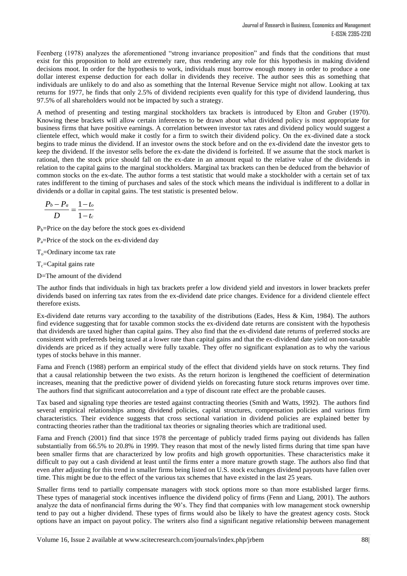Feenberg (1978) analyzes the aforementioned "strong invariance proposition" and finds that the conditions that must exist for this proposition to hold are extremely rare, thus rendering any role for this hypothesis in making dividend decisions moot. In order for the hypothesis to work, individuals must borrow enough money in order to produce a one dollar interest expense deduction for each dollar in dividends they receive. The author sees this as something that individuals are unlikely to do and also as something that the Internal Revenue Service might not allow. Looking at tax returns for 1977, he finds that only 2.5% of dividend recipients even qualify for this type of dividend laundering, thus 97.5% of all shareholders would not be impacted by such a strategy.

A method of presenting and testing marginal stockholders tax brackets is introduced by Elton and Gruber (1970). Knowing these brackets will allow certain inferences to be drawn about what dividend policy is most appropriate for business firms that have positive earnings. A correlation between investor tax rates and dividend policy would suggest a clientele effect, which would make it costly for a firm to switch their dividend policy. On the ex-divined date a stock begins to trade minus the dividend. If an investor owns the stock before and on the ex-dividend date the investor gets to keep the dividend. If the investor sells before the ex-date the dividend is forfeited. If we assume that the stock market is rational, then the stock price should fall on the ex-date in an amount equal to the relative value of the dividends in relation to the capital gains to the marginal stockholders. Marginal tax brackets can then be deduced from the behavior of common stocks on the ex-date. The author forms a test statistic that would make a stockholder with a certain set of tax rates indifferent to the timing of purchases and sales of the stock which means the individual is indifferent to a dollar in dividends or a dollar in capital gains. The test statistic is presented below.

$$
\frac{P_b - P_a}{D} = \frac{1 - t_o}{1 - t_c}
$$

 $P_b$ =Price on the day before the stock goes ex-dividend

 $P_a$ =Price of the stock on the ex-dividend day

 $T<sub>o</sub>=$ Ordinary income tax rate

 $T_c$ =Capital gains rate

D=The amount of the dividend

The author finds that individuals in high tax brackets prefer a low dividend yield and investors in lower brackets prefer dividends based on inferring tax rates from the ex-dividend date price changes. Evidence for a dividend clientele effect therefore exists.

Ex-dividend date returns vary according to the taxability of the distributions (Eades, Hess & Kim, 1984). The authors find evidence suggesting that for taxable common stocks the ex-dividend date returns are consistent with the hypothesis that dividends are taxed higher than capital gains. They also find that the ex-dividend date returns of preferred stocks are consistent with preferreds being taxed at a lower rate than capital gains and that the ex-dividend date yield on non-taxable dividends are priced as if they actually were fully taxable. They offer no significant explanation as to why the various types of stocks behave in this manner.

Fama and French (1988) perform an empirical study of the effect that dividend yields have on stock returns. They find that a causal relationship between the two exists. As the return horizon is lengthened the coefficient of determination increases, meaning that the predictive power of dividend yields on forecasting future stock returns improves over time. The authors find that significant autocorrelation and a type of discount rate effect are the probable causes.

Tax based and signaling type theories are tested against contracting theories (Smith and Watts, 1992). The authors find several empirical relationships among dividend policies, capital structures, compensation policies and various firm characteristics. Their evidence suggests that cross sectional variation in dividend policies are explained better by contracting theories rather than the traditional tax theories or signaling theories which are traditional used.

Fama and French (2001) find that since 1978 the percentage of publicly traded firms paying out dividends has fallen substantially from 66.5% to 20.8% in 1999. They reason that most of the newly listed firms during that time span have been smaller firms that are characterized by low profits and high growth opportunities. These characteristics make it difficult to pay out a cash dividend at least until the firms enter a more mature growth stage. The authors also find that even after adjusting for this trend in smaller firms being listed on U.S. stock exchanges dividend payouts have fallen over time. This might be due to the effect of the various tax schemes that have existed in the last 25 years.

Smaller firms tend to partially compensate managers with stock options more so than more established larger firms. These types of managerial stock incentives influence the dividend policy of firms (Fenn and Liang, 2001). The authors analyze the data of nonfinancial firms during the 90's. They find that companies with low management stock ownership tend to pay out a higher dividend. These types of firms would also be likely to have the greatest agency costs. Stock options have an impact on payout policy. The writers also find a significant negative relationship between management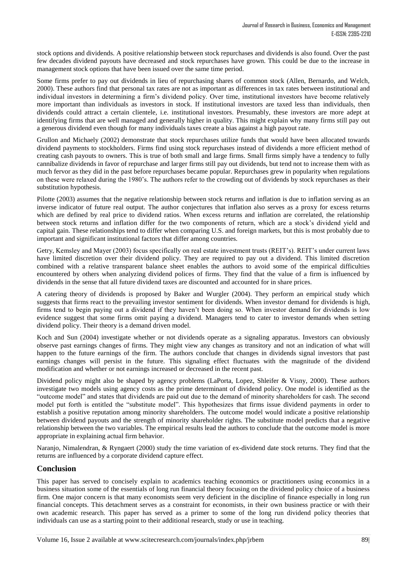stock options and dividends. A positive relationship between stock repurchases and dividends is also found. Over the past few decades dividend payouts have decreased and stock repurchases have grown. This could be due to the increase in management stock options that have been issued over the same time period.

Some firms prefer to pay out dividends in lieu of repurchasing shares of common stock (Allen, Bernardo, and Welch, 2000). These authors find that personal tax rates are not as important as differences in tax rates between institutional and individual investors in determining a firm's dividend policy. Over time, institutional investors have become relatively more important than individuals as investors in stock. If institutional investors are taxed less than individuals, then dividends could attract a certain clientele, i.e. institutional investors. Presumably, these investors are more adept at identifying firms that are well managed and generally higher in quality. This might explain why many firms still pay out a generous dividend even though for many individuals taxes create a bias against a high payout rate.

Grullon and Michaely (2002) demonstrate that stock repurchases utilize funds that would have been allocated towards dividend payments to stockholders. Firms find using stock repurchases instead of dividends a more efficient method of creating cash payouts to owners. This is true of both small and large firms. Small firms simply have a tendency to fully cannibalize dividends in favor of repurchase and larger firms still pay out dividends, but tend not to increase them with as much fervor as they did in the past before repurchases became popular. Repurchases grew in popularity when regulations on these were relaxed during the 1980's. The authors refer to the crowding out of dividends by stock repurchases as their substitution hypothesis.

Pilotte (2003) assumes that the negative relationship between stock returns and inflation is due to inflation serving as an inverse indicator of future real output. The author conjectures that inflation also serves as a proxy for excess returns which are defined by real price to dividend ratios. When excess returns and inflation are correlated, the relationship between stock returns and inflation differ for the two components of return, which are a stock's dividend yield and capital gain. These relationships tend to differ when comparing U.S. and foreign markets, but this is most probably due to important and significant institutional factors that differ among countries.

Getry, Kemsley and Mayer (2003) focus specifically on real estate investment trusts (REIT's). REIT's under current laws have limited discretion over their dividend policy. They are required to pay out a dividend. This limited discretion combined with a relative transparent balance sheet enables the authors to avoid some of the empirical difficulties encountered by others when analyzing dividend polices of firms. They find that the value of a firm is influenced by dividends in the sense that all future dividend taxes are discounted and accounted for in share prices.

A catering theory of dividends is proposed by Baker and Wurgler (2004). They perform an empirical study which suggests that firms react to the prevailing investor sentiment for dividends. When investor demand for dividends is high, firms tend to begin paying out a dividend if they haven't been doing so. When investor demand for dividends is low evidence suggest that some firms omit paying a dividend. Managers tend to cater to investor demands when setting dividend policy. Their theory is a demand driven model.

Koch and Sun (2004) investigate whether or not dividends operate as a signaling apparatus. Investors can obviously observe past earnings changes of firms. They might view any changes as transitory and not an indication of what will happen to the future earnings of the firm. The authors conclude that changes in dividends signal investors that past earnings changes will persist in the future. This signaling effect fluctuates with the magnitude of the dividend modification and whether or not earnings increased or decreased in the recent past.

Dividend policy might also be shaped by agency problems (LaPorta, Lopez, Shleifer & Visny, 2000). These authors investigate two models using agency costs as the prime determinant of dividend policy. One model is identified as the "outcome model" and states that dividends are paid out due to the demand of minority shareholders for cash. The second model put forth is entitled the "substitute model". This hypothesizes that firms issue dividend payments in order to establish a positive reputation among minority shareholders. The outcome model would indicate a positive relationship between dividend payouts and the strength of minority shareholder rights. The substitute model predicts that a negative relationship between the two variables. The empirical results lead the authors to conclude that the outcome model is more appropriate in explaining actual firm behavior.

Naranjo, Nimalendran, & Ryngaert (2000) study the time variation of ex-dividend date stock returns. They find that the returns are influenced by a corporate dividend capture effect.

### **Conclusion**

This paper has served to concisely explain to academics teaching economics or practitioners using economics in a business situation some of the essentials of long run financial theory focusing on the dividend policy choice of a business firm. One major concern is that many economists seem very deficient in the discipline of finance especially in long run financial concepts. This detachment serves as a constraint for economists, in their own business practice or with their own academic research. This paper has served as a primer to some of the long run dividend policy theories that individuals can use as a starting point to their additional research, study or use in teaching.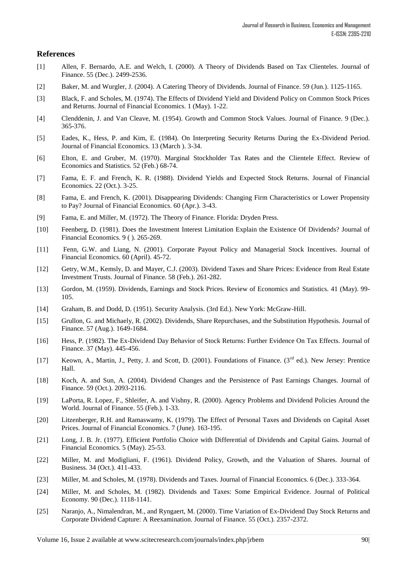#### **References**

- [1] Allen, F. Bernardo, A.E. and Welch, I. (2000). A Theory of Dividends Based on Tax Clienteles. Journal of Finance. 55 (Dec.). 2499-2536.
- [2] Baker, M. and Wurgler, J. (2004). A Catering Theory of Dividends. Journal of Finance. 59 (Jun.). 1125-1165.
- [3] Black, F. and Scholes, M. (1974). The Effects of Dividend Yield and Dividend Policy on Common Stock Prices and Returns. Journal of Financial Economics. 1 (May). 1-22.
- [4] Clenddenin, J. and Van Cleave, M. (1954). Growth and Common Stock Values. Journal of Finance. 9 (Dec.). 365-376.
- [5] Eades, K., Hess, P. and Kim, E. (1984). On Interpreting Security Returns During the Ex-Dividend Period. Journal of Financial Economics. 13 (March ). 3-34.
- [6] Elton, E. and Gruber, M. (1970). Marginal Stockholder Tax Rates and the Clientele Effect. Review of Economics and Statistics. 52 (Feb.) 68-74.
- [7] Fama, E. F. and French, K. R. (1988). Dividend Yields and Expected Stock Returns. Journal of Financial Economics. 22 (Oct.). 3-25.
- [8] Fama, E. and French, K. (2001). Disappearing Dividends: Changing Firm Characteristics or Lower Propensity to Pay? Journal of Financial Economics. 60 (Apr.). 3-43.
- [9] Fama, E. and Miller, M. (1972). The Theory of Finance. Florida: Dryden Press.
- [10] Feenberg, D. (1981). Does the Investment Interest Limitation Explain the Existence Of Dividends? Journal of Financial Economics. 9 ( ). 265-269.
- [11] Fenn, G.W. and Liang, N. (2001). Corporate Payout Policy and Managerial Stock Incentives. Journal of Financial Economics. 60 (April). 45-72.
- [12] Getry, W.M., Kemsly, D. and Mayer, C.J. (2003). Dividend Taxes and Share Prices: Evidence from Real Estate Investment Trusts. Journal of Finance. 58 (Feb.). 261-282.
- [13] Gordon, M. (1959). Dividends, Earnings and Stock Prices. Review of Economics and Statistics. 41 (May). 99- 105.
- [14] Graham, B. and Dodd, D. (1951). Security Analysis. (3rd Ed.). New York: McGraw-Hill.
- [15] Grullon, G. and Michaely, R. (2002). Dividends, Share Repurchases, and the Substitution Hypothesis. Journal of Finance. 57 (Aug.). 1649-1684.
- [16] Hess, P. (1982). The Ex-Dividend Day Behavior of Stock Returns: Further Evidence On Tax Effects. Journal of Finance. 37 (May). 445-456.
- [17] Keown, A., Martin, J., Petty, J. and Scott, D. (2001). Foundations of Finance. (3<sup>rd</sup> ed.). New Jersey: Prentice Hall.
- [18] Koch, A. and Sun, A. (2004). Dividend Changes and the Persistence of Past Earnings Changes. Journal of Finance. 59 (Oct.). 2093-2116.
- [19] LaPorta, R. Lopez, F., Shleifer, A. and Vishny, R. (2000). Agency Problems and Dividend Policies Around the World. Journal of Finance. 55 (Feb.). 1-33.
- [20] Litzenberger, R.H. and Ramaswamy, K. (1979). The Effect of Personal Taxes and Dividends on Capital Asset Prices. Journal of Financial Economics. 7 (June). 163-195.
- [21] Long, J. B. Jr. (1977). Efficient Portfolio Choice with Differential of Dividends and Capital Gains. Journal of Financial Economics. 5 (May). 25-53.
- [22] Miller, M. and Modigliani, F. (1961). Dividend Policy, Growth, and the Valuation of Shares. Journal of Business. 34 (Oct.). 411-433.
- [23] Miller, M. and Scholes, M. (1978). Dividends and Taxes. Journal of Financial Economics. 6 (Dec.). 333-364.
- [24] Miller, M. and Scholes, M. (1982). Dividends and Taxes: Some Empirical Evidence. Journal of Political Economy. 90 (Dec.). 1118-1141.
- [25] Naranjo, A., Nimalendran, M., and Ryngaert, M. (2000). Time Variation of Ex-Dividend Day Stock Returns and Corporate Dividend Capture: A Reexamination. Journal of Finance. 55 (Oct.). 2357-2372.